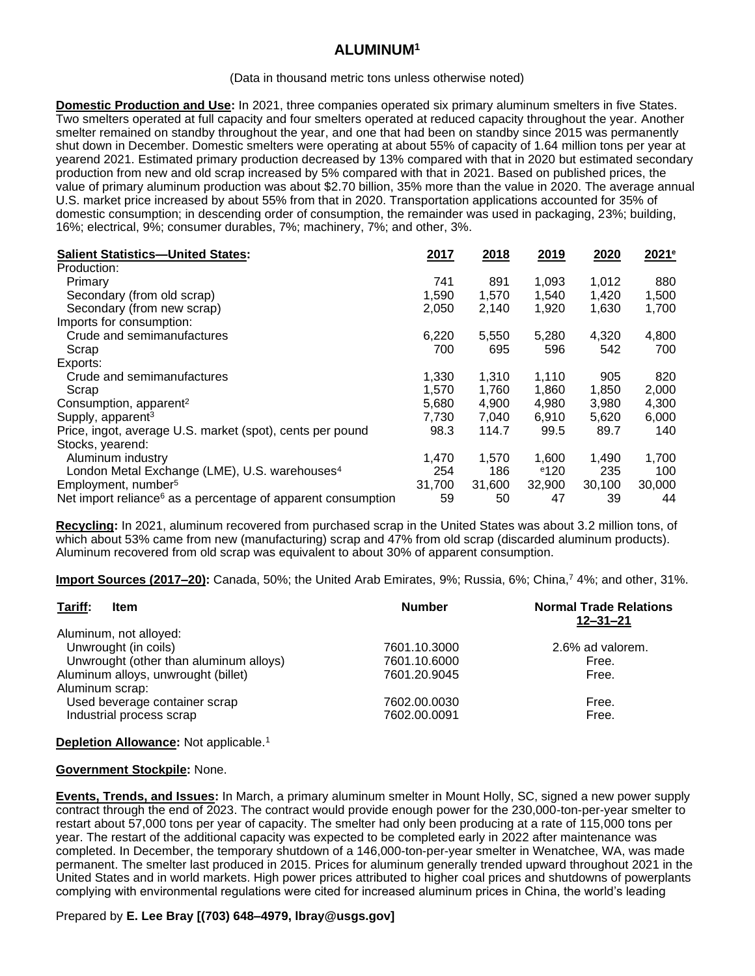# **ALUMINUM<sup>1</sup>**

#### (Data in thousand metric tons unless otherwise noted)

**Domestic Production and Use:** In 2021, three companies operated six primary aluminum smelters in five States. Two smelters operated at full capacity and four smelters operated at reduced capacity throughout the year. Another smelter remained on standby throughout the year, and one that had been on standby since 2015 was permanently shut down in December. Domestic smelters were operating at about 55% of capacity of 1.64 million tons per year at yearend 2021. Estimated primary production decreased by 13% compared with that in 2020 but estimated secondary production from new and old scrap increased by 5% compared with that in 2021. Based on published prices, the value of primary aluminum production was about \$2.70 billion, 35% more than the value in 2020. The average annual U.S. market price increased by about 55% from that in 2020. Transportation applications accounted for 35% of domestic consumption; in descending order of consumption, the remainder was used in packaging, 23%; building, 16%; electrical, 9%; consumer durables, 7%; machinery, 7%; and other, 3%.

| <b>Salient Statistics-United States:</b>                                 | 2017   | 2018   | 2019    | 2020   | 2021 <sup>e</sup> |
|--------------------------------------------------------------------------|--------|--------|---------|--------|-------------------|
| Production:                                                              |        |        |         |        |                   |
| Primary                                                                  | 741    | 891    | 1,093   | 1,012  | 880               |
| Secondary (from old scrap)                                               | 1,590  | 1,570  | 1,540   | 1,420  | 1,500             |
| Secondary (from new scrap)                                               | 2,050  | 2,140  | 1,920   | 1,630  | 1,700             |
| Imports for consumption:                                                 |        |        |         |        |                   |
| Crude and semimanufactures                                               | 6,220  | 5,550  | 5,280   | 4,320  | 4,800             |
| Scrap                                                                    | 700    | 695    | 596     | 542    | 700               |
| Exports:                                                                 |        |        |         |        |                   |
| Crude and semimanufactures                                               | 1,330  | 1.310  | 1,110   | 905    | 820               |
| Scrap                                                                    | 1,570  | 1,760  | 1,860   | 1,850  | 2,000             |
| Consumption, apparent <sup>2</sup>                                       | 5,680  | 4,900  | 4,980   | 3,980  | 4,300             |
| Supply, apparent <sup>3</sup>                                            | 7,730  | 7,040  | 6,910   | 5,620  | 6,000             |
| Price, ingot, average U.S. market (spot), cents per pound                | 98.3   | 114.7  | 99.5    | 89.7   | 140               |
| Stocks, yearend:                                                         |        |        |         |        |                   |
| Aluminum industry                                                        | 1,470  | 1.570  | 1.600   | 1,490  | 1,700             |
| London Metal Exchange (LME), U.S. warehouses <sup>4</sup>                | 254    | 186    | $e$ 120 | 235    | 100               |
| Employment, number <sup>5</sup>                                          | 31,700 | 31,600 | 32,900  | 30,100 | 30,000            |
| Net import reliance <sup>6</sup> as a percentage of apparent consumption | 59     | 50     | 47      | 39     | 44                |

**Recycling:** In 2021, aluminum recovered from purchased scrap in the United States was about 3.2 million tons, of which about 53% came from new (manufacturing) scrap and 47% from old scrap (discarded aluminum products). Aluminum recovered from old scrap was equivalent to about 30% of apparent consumption.

**Import Sources (2017–20):** Canada, 50%; the United Arab Emirates, 9%; Russia, 6%; China,<sup>7</sup> 4%; and other, 31%.

| Tariff:<br><b>Item</b>                 | <b>Number</b> | <b>Normal Trade Relations</b><br>$12 - 31 - 21$ |
|----------------------------------------|---------------|-------------------------------------------------|
| Aluminum, not alloyed:                 |               |                                                 |
| Unwrought (in coils)                   | 7601.10.3000  | 2.6% ad valorem.                                |
| Unwrought (other than aluminum alloys) | 7601.10.6000  | Free.                                           |
| Aluminum alloys, unwrought (billet)    | 7601.20.9045  | Free.                                           |
| Aluminum scrap:                        |               |                                                 |
| Used beverage container scrap          | 7602.00.0030  | Free.                                           |
| Industrial process scrap               | 7602.00.0091  | Free.                                           |
|                                        |               |                                                 |

**Depletion Allowance:** Not applicable.<sup>1</sup>

#### **Government Stockpile:** None.

**Events, Trends, and Issues:** In March, a primary aluminum smelter in Mount Holly, SC, signed a new power supply contract through the end of 2023. The contract would provide enough power for the 230,000-ton-per-year smelter to restart about 57,000 tons per year of capacity. The smelter had only been producing at a rate of 115,000 tons per year. The restart of the additional capacity was expected to be completed early in 2022 after maintenance was completed. In December, the temporary shutdown of a 146,000-ton-per-year smelter in Wenatchee, WA, was made permanent. The smelter last produced in 2015. Prices for aluminum generally trended upward throughout 2021 in the United States and in world markets. High power prices attributed to higher coal prices and shutdowns of powerplants complying with environmental regulations were cited for increased aluminum prices in China, the world's leading

### Prepared by **E. Lee Bray [(703) 648–4979, lbray@usgs.gov]**